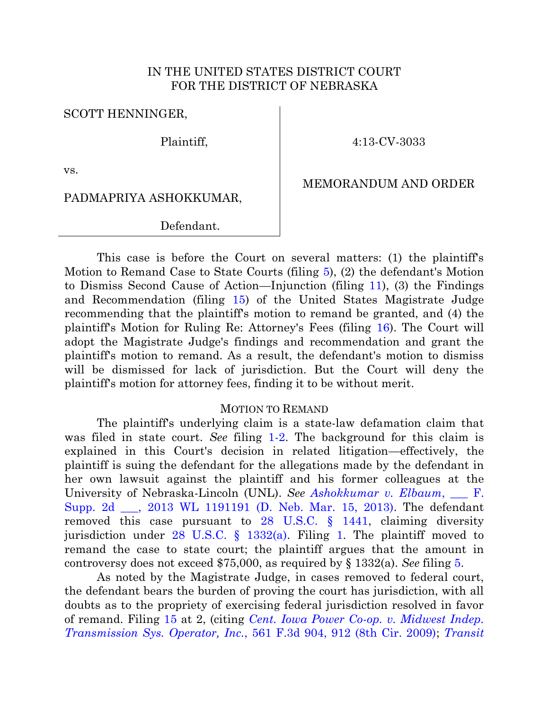## IN THE UNITED STATES DISTRICT COURT FOR THE DISTRICT OF NEBRASKA

SCOTT HENNINGER,

Plaintiff,

4:13-CV-3033

vs.

MEMORANDUM AND ORDER

PADMAPRIYA ASHOKKUMAR,

Defendant.

This case is before the Court on several matters: (1) the plaintiff's Motion to Remand Case to State Courts (filing [5\)](https://ecf.ned.uscourts.gov/doc1/11312730736), (2) the defendant's Motion to Dismiss Second Cause of Action—Injunction (filing [11\)](https://ecf.ned.uscourts.gov/doc1/11312755055), (3) the Findings and Recommendation (filing [15\)](https://ecf.ned.uscourts.gov/doc1/11312757086) of the United States Magistrate Judge recommending that the plaintiff's motion to remand be granted, and (4) the plaintiff's Motion for Ruling Re: Attorney's Fees (filing [16\)](https://ecf.ned.uscourts.gov/doc1/11312758246). The Court will adopt the Magistrate Judge's findings and recommendation and grant the plaintiff's motion to remand. As a result, the defendant's motion to dismiss will be dismissed for lack of jurisdiction. But the Court will deny the plaintiff's motion for attorney fees, finding it to be without merit.

## MOTION TO REMAND

The plaintiff's underlying claim is a state-law defamation claim that was filed in state court. *See* filing [1-2.](https://ecf.ned.uscourts.gov/doc1/11312717251) The background for this claim is explained in this Court's decision in related litigation—effectively, the plaintiff is suing the defendant for the allegations made by the defendant in her own lawsuit against the plaintiff and his former colleagues at the University of Nebraska-Lincoln (UNL). *See [Ashokkumar v. Elbaum](http://westlaw.com/find/default.wl?ft=Y&db=0000999&rs=btil2.0&rp=%2ffind%2fdefault.wl&serialnum=2030210010&fn=_top&findtype=Y&vr=2.0&wbtoolsId=2030210010&HistoryType=F)*, F. [Supp. 2d \\_\\_\\_, 2013 WL 1191191 \(D. Neb. Mar. 15, 2013\).](http://westlaw.com/find/default.wl?ft=Y&db=0000999&rs=btil2.0&rp=%2ffind%2fdefault.wl&serialnum=2030210010&fn=_top&findtype=Y&vr=2.0&wbtoolsId=2030210010&HistoryType=F) The defendant removed this case pursuant to [28 U.S.C. § 1441,](http://westlaw.com/find/default.wl?ft=L&docname=28USCAS1441&rs=btil2.0&rp=%2ffind%2fdefault.wl&fn=_top&findtype=L&vr=2.0&db=1000546&wbtoolsId=28USCAS1441&HistoryType=F) claiming diversity jurisdiction under [28 U.S.C. § 1332\(a\).](http://westlaw.com/find/default.wl?ft=L&docname=28USCAS1332&rs=btil2.0&rp=%2ffind%2fdefault.wl&fn=_top&findtype=L&vr=2.0&db=1000546&wbtoolsId=28USCAS1332&HistoryType=F) Filing [1.](https://ecf.ned.uscourts.gov/doc1/11302717249) The plaintiff moved to remand the case to state court; the plaintiff argues that the amount in controversy does not exceed \$75,000, as required by § 1332(a). *See* filing [5.](https://ecf.ned.uscourts.gov/doc1/11312730736)

As noted by the Magistrate Judge, in cases removed to federal court, the defendant bears the burden of proving the court has jurisdiction, with all doubts as to the propriety of exercising federal jurisdiction resolved in favor of remand. Filing [15](https://ecf.ned.uscourts.gov/doc1/11312757086) at 2, (citing *Cent. [Iowa Power Co-op. v. Midwest Indep.](http://westlaw.com/find/default.wl?ft=Y&db=0000506&rs=btil2.0&rp=%2ffind%2fdefault.wl&serialnum=2018485358&fn=_top&findtype=Y&vr=2.0&wbtoolsId=2018485358&HistoryType=F) Transmission Sys. Operator, Inc.*[, 561 F.3d 904, 912 \(8th Cir. 2009\);](http://westlaw.com/find/default.wl?ft=Y&db=0000506&rs=btil2.0&rp=%2ffind%2fdefault.wl&serialnum=2018485358&fn=_top&findtype=Y&vr=2.0&wbtoolsId=2018485358&HistoryType=F) *[Transit](http://westlaw.com/find/default.wl?ft=Y&db=0000506&rs=btil2.0&rp=%2ffind%2fdefault.wl&serialnum=1997145029&fn=_top&findtype=Y&vr=2.0&wbtoolsId=1997145029&HistoryType=F)*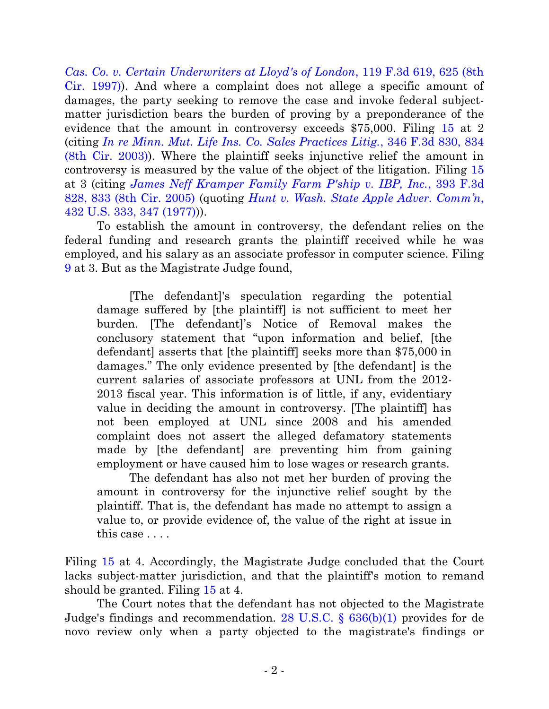*[Cas. Co. v. Certain Underwriters at Lloyd's of London](http://westlaw.com/find/default.wl?ft=Y&db=0000506&rs=btil2.0&rp=%2ffind%2fdefault.wl&serialnum=1997145029&fn=_top&findtype=Y&vr=2.0&wbtoolsId=1997145029&HistoryType=F)*, 119 F.3d 619, 625 (8th [Cir. 1997\)\)](http://westlaw.com/find/default.wl?ft=Y&db=0000506&rs=btil2.0&rp=%2ffind%2fdefault.wl&serialnum=1997145029&fn=_top&findtype=Y&vr=2.0&wbtoolsId=1997145029&HistoryType=F). And where a complaint does not allege a specific amount of damages, the party seeking to remove the case and invoke federal subjectmatter jurisdiction bears the burden of proving by a preponderance of the evidence that the amount in controversy exceeds \$75,000. Filing [15](https://ecf.ned.uscourts.gov/doc1/11312757086) at 2 (citing *[In re Minn. Mut. Life Ins. Co. Sales Practices Litig.](http://westlaw.com/find/default.wl?ft=Y&db=0000506&rs=btil2.0&rp=%2ffind%2fdefault.wl&serialnum=2003710312&fn=_top&findtype=Y&vr=2.0&wbtoolsId=2003710312&HistoryType=F)*, 346 F.3d 830, 834 [\(8th Cir. 2003\)\)](http://westlaw.com/find/default.wl?ft=Y&db=0000506&rs=btil2.0&rp=%2ffind%2fdefault.wl&serialnum=2003710312&fn=_top&findtype=Y&vr=2.0&wbtoolsId=2003710312&HistoryType=F). Where the plaintiff seeks injunctive relief the amount in controversy is measured by the value of the object of the litigation. Filing [15](https://ecf.ned.uscourts.gov/doc1/11312757086) at 3 (citing *[James Neff Kramper Family Farm P'ship v. IBP, Inc.](http://westlaw.com/find/default.wl?ft=Y&db=0000506&rs=btil2.0&rp=%2ffind%2fdefault.wl&serialnum=2005908273&fn=_top&findtype=Y&vr=2.0&wbtoolsId=2005908273&HistoryType=F)*, 393 F.3d [828, 833 \(8th Cir. 2005\)](http://westlaw.com/find/default.wl?ft=Y&db=0000506&rs=btil2.0&rp=%2ffind%2fdefault.wl&serialnum=2005908273&fn=_top&findtype=Y&vr=2.0&wbtoolsId=2005908273&HistoryType=F) (quoting *[Hunt v. Wash. State Apple Adver. Comm'n](http://westlaw.com/find/default.wl?ft=Y&db=0000780&rs=btil2.0&rp=%2ffind%2fdefault.wl&serialnum=1977118827&fn=_top&findtype=Y&vr=2.0&wbtoolsId=1977118827&HistoryType=F)*, [432 U.S. 333, 347 \(1977\)\)](http://westlaw.com/find/default.wl?ft=Y&db=0000780&rs=btil2.0&rp=%2ffind%2fdefault.wl&serialnum=1977118827&fn=_top&findtype=Y&vr=2.0&wbtoolsId=1977118827&HistoryType=F)).

To establish the amount in controversy, the defendant relies on the federal funding and research grants the plaintiff received while he was employed, and his salary as an associate professor in computer science. Filing [9](https://ecf.ned.uscourts.gov/doc1/11312741243) at 3. But as the Magistrate Judge found,

[The defendant]'s speculation regarding the potential damage suffered by [the plaintiff] is not sufficient to meet her burden. [The defendant]'s Notice of Removal makes the conclusory statement that "upon information and belief, [the defendant] asserts that [the plaintiff] seeks more than \$75,000 in damages." The only evidence presented by [the defendant] is the current salaries of associate professors at UNL from the 2012- 2013 fiscal year. This information is of little, if any, evidentiary value in deciding the amount in controversy. [The plaintiff] has not been employed at UNL since 2008 and his amended complaint does not assert the alleged defamatory statements made by [the defendant] are preventing him from gaining employment or have caused him to lose wages or research grants.

The defendant has also not met her burden of proving the amount in controversy for the injunctive relief sought by the plaintiff. That is, the defendant has made no attempt to assign a value to, or provide evidence of, the value of the right at issue in this case . . . .

Filing [15](https://ecf.ned.uscourts.gov/doc1/11312757086) at 4. Accordingly, the Magistrate Judge concluded that the Court lacks subject-matter jurisdiction, and that the plaintiff's motion to remand should be granted. Filing [15](https://ecf.ned.uscourts.gov/doc1/11312757086) at 4.

The Court notes that the defendant has not objected to the Magistrate Judge's findings and recommendation. [28 U.S.C. § 636\(b\)\(1\)](http://westlaw.com/find/default.wl?ft=L&docname=28USCAS636&rs=btil2.0&rp=%2ffind%2fdefault.wl&fn=_top&findtype=L&vr=2.0&db=1000546&wbtoolsId=28USCAS636&HistoryType=F) provides for de novo review only when a party objected to the magistrate's findings or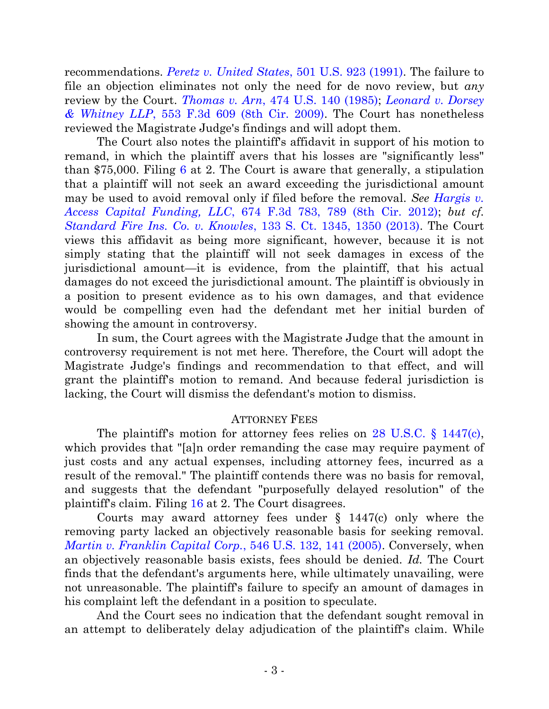recommendations. *[Peretz v. United States](http://westlaw.com/find/default.wl?ft=Y&db=0000780&rs=btil2.0&rp=%2ffind%2fdefault.wl&serialnum=1991116025&fn=_top&findtype=Y&vr=2.0&wbtoolsId=1991116025&HistoryType=F)*, 501 U.S. 923 (1991). The failure to file an objection eliminates not only the need for de novo review, but *any* review by the Court. *Thomas v. Arn*[, 474 U.S. 140 \(1985\);](http://westlaw.com/find/default.wl?ft=Y&db=0000780&rs=btil2.0&rp=%2ffind%2fdefault.wl&serialnum=1985158797&fn=_top&findtype=Y&vr=2.0&wbtoolsId=1985158797&HistoryType=F) *[Leonard v. Dorsey](http://westlaw.com/find/default.wl?ft=Y&db=0000506&rs=btil2.0&rp=%2ffind%2fdefault.wl&serialnum=2017885239&fn=_top&findtype=Y&vr=2.0&wbtoolsId=2017885239&HistoryType=F)  & Whitney LLP*[, 553 F.3d 609 \(8th Cir. 2009\).](http://westlaw.com/find/default.wl?ft=Y&db=0000506&rs=btil2.0&rp=%2ffind%2fdefault.wl&serialnum=2017885239&fn=_top&findtype=Y&vr=2.0&wbtoolsId=2017885239&HistoryType=F) The Court has nonetheless reviewed the Magistrate Judge's findings and will adopt them.

The Court also notes the plaintiff's affidavit in support of his motion to remand, in which the plaintiff avers that his losses are "significantly less" than \$75,000. Filing [6](https://ecf.ned.uscourts.gov/doc1/11312730748) at 2. The Court is aware that generally, a stipulation that a plaintiff will not seek an award exceeding the jurisdictional amount may be used to avoid removal only if filed before the removal. *See [Hargis v.](http://westlaw.com/find/default.wl?ft=Y&db=0000506&rs=btil2.0&rp=%2ffind%2fdefault.wl&serialnum=2027246816&fn=_top&findtype=Y&vr=2.0&wbtoolsId=2027246816&HistoryType=F)  Access Capital Funding, LLC*[, 674 F.3d 783, 789 \(8th Cir. 2012\);](http://westlaw.com/find/default.wl?ft=Y&db=0000506&rs=btil2.0&rp=%2ffind%2fdefault.wl&serialnum=2027246816&fn=_top&findtype=Y&vr=2.0&wbtoolsId=2027246816&HistoryType=F) *but cf. [Standard Fire Ins. Co. v. Knowles](http://web2.westlaw.com/find/default.wl?cite=133+S.+Ct.+1345&rs=WLW13.04&vr=2.0&rp=%2ffind%2fdefault.wl&sv=Split&fn=_top&mt=26)*, 133 S. Ct. 1345, 1350 (2013). The Court views this affidavit as being more significant, however, because it is not simply stating that the plaintiff will not seek damages in excess of the jurisdictional amount—it is evidence, from the plaintiff, that his actual damages do not exceed the jurisdictional amount. The plaintiff is obviously in a position to present evidence as to his own damages, and that evidence would be compelling even had the defendant met her initial burden of showing the amount in controversy.

In sum, the Court agrees with the Magistrate Judge that the amount in controversy requirement is not met here. Therefore, the Court will adopt the Magistrate Judge's findings and recommendation to that effect, and will grant the plaintiff's motion to remand. And because federal jurisdiction is lacking, the Court will dismiss the defendant's motion to dismiss.

## ATTORNEY FEES

The plaintiff's motion for attorney fees relies on [28 U.S.C. § 1447\(c\),](http://westlaw.com/find/default.wl?ft=L&docname=28USCAS1447&rs=btil2.0&rp=%2ffind%2fdefault.wl&fn=_top&findtype=L&vr=2.0&db=1000546&wbtoolsId=28USCAS1447&HistoryType=F) which provides that "[a]n order remanding the case may require payment of just costs and any actual expenses, including attorney fees, incurred as a result of the removal." The plaintiff contends there was no basis for removal, and suggests that the defendant "purposefully delayed resolution" of the plaintiff's claim. Filing [16](https://ecf.ned.uscourts.gov/doc1/11312758246) at 2. The Court disagrees.

Courts may award attorney fees under § 1447(c) only where the removing party lacked an objectively reasonable basis for seeking removal. *[Martin v. Franklin Capital Corp.](http://westlaw.com/find/default.wl?ft=Y&db=0000780&rs=btil2.0&rp=%2ffind%2fdefault.wl&serialnum=2007830082&fn=_top&findtype=Y&vr=2.0&wbtoolsId=2007830082&HistoryType=F)*, 546 U.S. 132, 141 (2005). Conversely, when an objectively reasonable basis exists, fees should be denied. *Id.* The Court finds that the defendant's arguments here, while ultimately unavailing, were not unreasonable. The plaintiff's failure to specify an amount of damages in his complaint left the defendant in a position to speculate.

And the Court sees no indication that the defendant sought removal in an attempt to deliberately delay adjudication of the plaintiff's claim. While